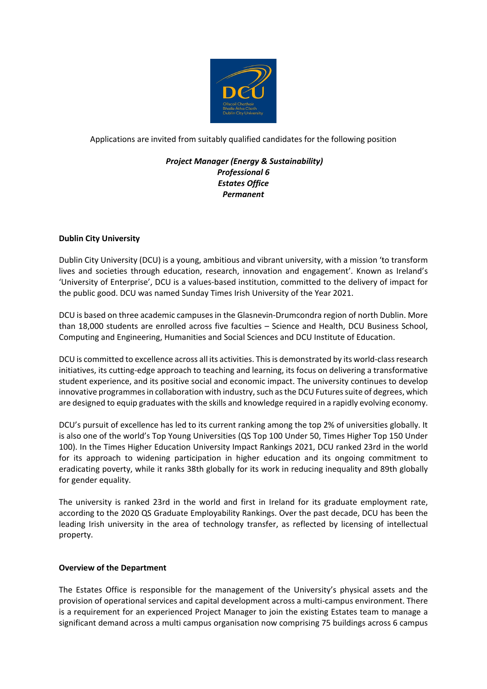

Applications are invited from suitably qualified candidates for the following position

# *Project Manager (Energy & Sustainability) Professional 6 Estates Office Permanent*

## **Dublin City University**

Dublin City University (DCU) is a young, ambitious and vibrant university, with a mission 'to transform lives and societies through education, research, innovation and engagement'. Known as Ireland's 'University of Enterprise', DCU is a values-based institution, committed to the delivery of impact for the public good. DCU was named Sunday Times Irish University of the Year 2021.

DCU is based on three academic campuses in the Glasnevin-Drumcondra region of north Dublin. More than 18,000 students are enrolled across five faculties – Science and Health, DCU Business School, Computing and Engineering, Humanities and Social Sciences and DCU Institute of Education.

DCU is committed to excellence across all its activities. This is demonstrated by its world-class research initiatives, its cutting-edge approach to teaching and learning, its focus on delivering a transformative student experience, and its positive social and economic impact. The university continues to develop innovative programmes in collaboration with industry, such as the DCU Futures suite of degrees, which are designed to equip graduates with the skills and knowledge required in a rapidly evolving economy.

DCU's pursuit of excellence has led to its current ranking among the top 2% of universities globally. It is also one of the world's Top Young Universities (QS Top 100 Under 50, Times Higher Top 150 Under 100). In the Times Higher Education University Impact Rankings 2021, DCU ranked 23rd in the world for its approach to widening participation in higher education and its ongoing commitment to eradicating poverty, while it ranks 38th globally for its work in reducing inequality and 89th globally for gender equality.

The university is ranked 23rd in the world and first in Ireland for its graduate employment rate, according to the 2020 QS Graduate Employability Rankings. Over the past decade, DCU has been the leading Irish university in the area of technology transfer, as reflected by licensing of intellectual property.

### **Overview of the Department**

The Estates Office is responsible for the management of the University's physical assets and the provision of operational services and capital development across a multi-campus environment. There is a requirement for an experienced Project Manager to join the existing Estates team to manage a significant demand across a multi campus organisation now comprising 75 buildings across 6 campus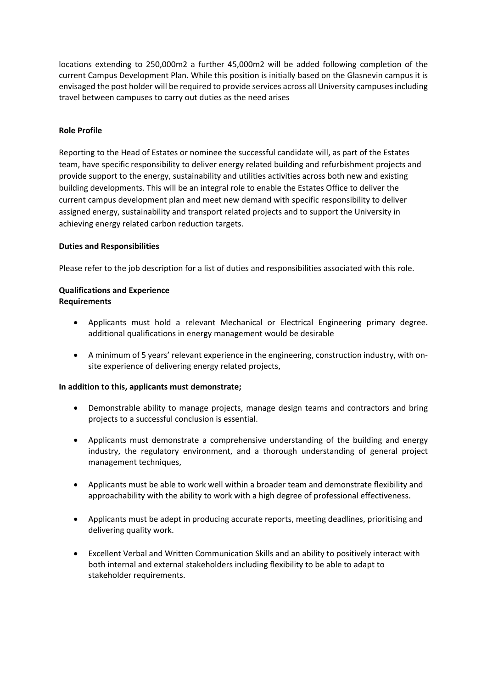locations extending to 250,000m2 a further 45,000m2 will be added following completion of the current Campus Development Plan. While this position is initially based on the Glasnevin campus it is envisaged the post holder will be required to provide services across all University campuses including travel between campuses to carry out duties as the need arises

## **Role Profile**

Reporting to the Head of Estates or nominee the successful candidate will, as part of the Estates team, have specific responsibility to deliver energy related building and refurbishment projects and provide support to the energy, sustainability and utilities activities across both new and existing building developments. This will be an integral role to enable the Estates Office to deliver the current campus development plan and meet new demand with specific responsibility to deliver assigned energy, sustainability and transport related projects and to support the University in achieving energy related carbon reduction targets.

### **Duties and Responsibilities**

Please refer to the job description for a list of duties and responsibilities associated with this role.

## **Qualifications and Experience Requirements**

- Applicants must hold a relevant Mechanical or Electrical Engineering primary degree. additional qualifications in energy management would be desirable
- A minimum of 5 years' relevant experience in the engineering, construction industry, with onsite experience of delivering energy related projects,

### **In addition to this, applicants must demonstrate;**

- Demonstrable ability to manage projects, manage design teams and contractors and bring projects to a successful conclusion is essential.
- Applicants must demonstrate a comprehensive understanding of the building and energy industry, the regulatory environment, and a thorough understanding of general project management techniques,
- Applicants must be able to work well within a broader team and demonstrate flexibility and approachability with the ability to work with a high degree of professional effectiveness.
- Applicants must be adept in producing accurate reports, meeting deadlines, prioritising and delivering quality work.
- Excellent Verbal and Written Communication Skills and an ability to positively interact with both internal and external stakeholders including flexibility to be able to adapt to stakeholder requirements.